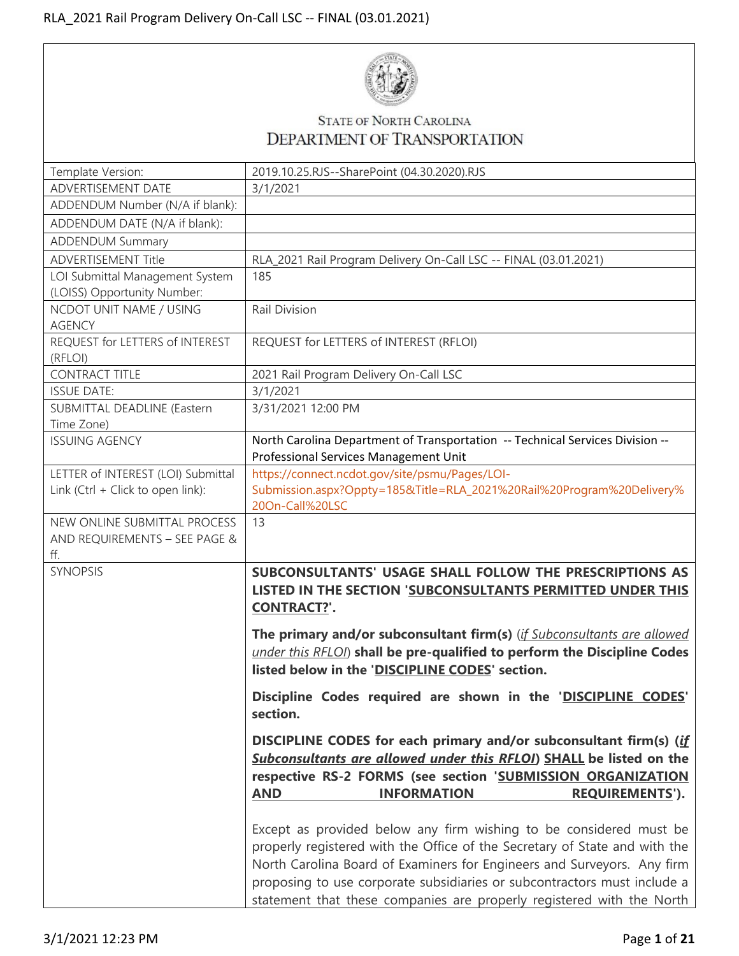

## STATE OF NORTH CAROLINA DEPARTMENT OF TRANSPORTATION

| Template Version:                  | 2019.10.25.RJS--SharePoint (04.30.2020).RJS                                             |
|------------------------------------|-----------------------------------------------------------------------------------------|
| ADVERTISEMENT DATE                 | 3/1/2021                                                                                |
| ADDENDUM Number (N/A if blank):    |                                                                                         |
| ADDENDUM DATE (N/A if blank):      |                                                                                         |
| <b>ADDENDUM Summary</b>            |                                                                                         |
| <b>ADVERTISEMENT Title</b>         | RLA_2021 Rail Program Delivery On-Call LSC -- FINAL (03.01.2021)                        |
| LOI Submittal Management System    | 185                                                                                     |
| (LOISS) Opportunity Number:        |                                                                                         |
| NCDOT UNIT NAME / USING            | Rail Division                                                                           |
| <b>AGENCY</b>                      |                                                                                         |
| REQUEST for LETTERS of INTEREST    | REQUEST for LETTERS of INTEREST (RFLOI)                                                 |
| (RFLOI)                            |                                                                                         |
| <b>CONTRACT TITLE</b>              | 2021 Rail Program Delivery On-Call LSC                                                  |
| <b>ISSUE DATE:</b>                 | 3/1/2021                                                                                |
| SUBMITTAL DEADLINE (Eastern        | 3/31/2021 12:00 PM                                                                      |
| Time Zone)                         |                                                                                         |
| <b>ISSUING AGENCY</b>              | North Carolina Department of Transportation -- Technical Services Division --           |
| LETTER of INTEREST (LOI) Submittal | Professional Services Management Unit<br>https://connect.ncdot.gov/site/psmu/Pages/LOI- |
| Link (Ctrl + Click to open link):  | Submission.aspx?Oppty=185&Title=RLA_2021%20Rail%20Program%20Delivery%                   |
|                                    | 20On-Call%20LSC                                                                         |
| NEW ONLINE SUBMITTAL PROCESS       | 13                                                                                      |
| AND REQUIREMENTS - SEE PAGE &      |                                                                                         |
| ff.                                |                                                                                         |
| <b>SYNOPSIS</b>                    | SUBCONSULTANTS' USAGE SHALL FOLLOW THE PRESCRIPTIONS AS                                 |
|                                    | <b>LISTED IN THE SECTION 'SUBCONSULTANTS PERMITTED UNDER THIS</b>                       |
|                                    | <b>CONTRACT?'.</b>                                                                      |
|                                    |                                                                                         |
|                                    | The primary and/or subconsultant firm(s) (if Subconsultants are allowed                 |
|                                    | under this RFLOI) shall be pre-qualified to perform the Discipline Codes                |
|                                    | listed below in the 'DISCIPLINE CODES' section.                                         |
|                                    | Discipline Codes required are shown in the 'DISCIPLINE CODES'                           |
|                                    | section.                                                                                |
|                                    |                                                                                         |
|                                    | DISCIPLINE CODES for each primary and/or subconsultant firm(s) (if                      |
|                                    | Subconsultants are allowed under this RFLOI) SHALL be listed on the                     |
|                                    | respective RS-2 FORMS (see section 'SUBMISSION ORGANIZATION                             |
|                                    | <b>AND</b><br><b>INFORMATION</b><br><b>REQUIREMENTS').</b>                              |
|                                    |                                                                                         |
|                                    | Except as provided below any firm wishing to be considered must be                      |
|                                    | properly registered with the Office of the Secretary of State and with the              |
|                                    | North Carolina Board of Examiners for Engineers and Surveyors. Any firm                 |
|                                    | proposing to use corporate subsidiaries or subcontractors must include a                |
|                                    | statement that these companies are properly registered with the North                   |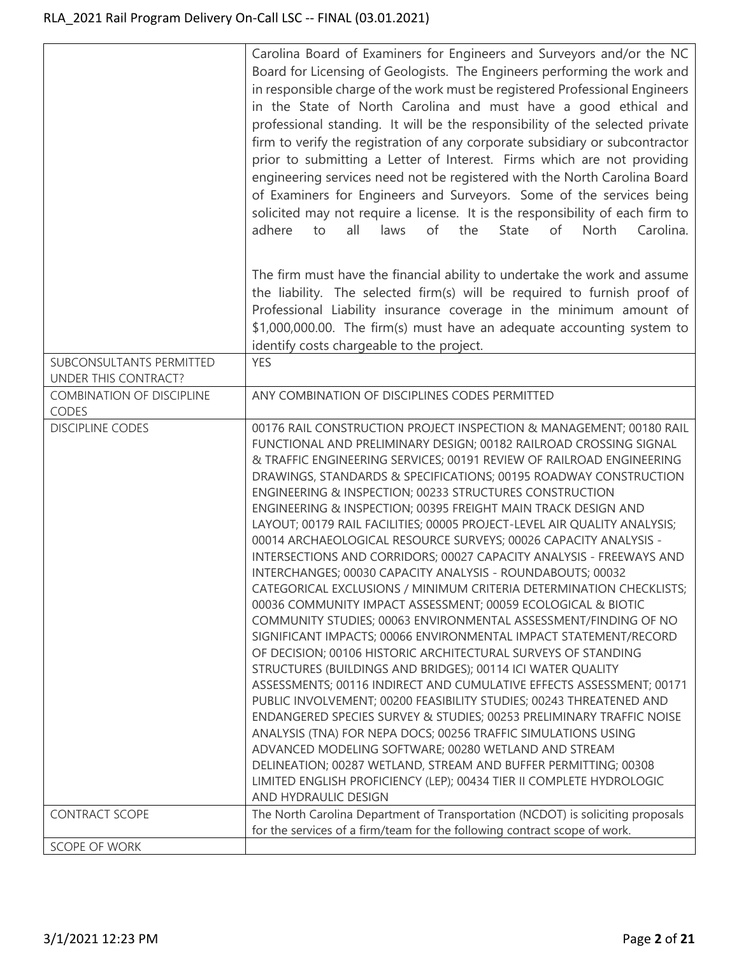|                                                  | Carolina Board of Examiners for Engineers and Surveyors and/or the NC<br>Board for Licensing of Geologists. The Engineers performing the work and<br>in responsible charge of the work must be registered Professional Engineers<br>in the State of North Carolina and must have a good ethical and<br>professional standing. It will be the responsibility of the selected private<br>firm to verify the registration of any corporate subsidiary or subcontractor<br>prior to submitting a Letter of Interest. Firms which are not providing<br>engineering services need not be registered with the North Carolina Board<br>of Examiners for Engineers and Surveyors. Some of the services being<br>solicited may not require a license. It is the responsibility of each firm to<br>of<br>the<br>adhere<br>to<br>all<br>laws<br>State<br>of<br>North<br>Carolina.                                                                                                                                                                                                                                                                                                                                                                                                                                                                                                                                                                                                                                                                                                                                                                  |
|--------------------------------------------------|----------------------------------------------------------------------------------------------------------------------------------------------------------------------------------------------------------------------------------------------------------------------------------------------------------------------------------------------------------------------------------------------------------------------------------------------------------------------------------------------------------------------------------------------------------------------------------------------------------------------------------------------------------------------------------------------------------------------------------------------------------------------------------------------------------------------------------------------------------------------------------------------------------------------------------------------------------------------------------------------------------------------------------------------------------------------------------------------------------------------------------------------------------------------------------------------------------------------------------------------------------------------------------------------------------------------------------------------------------------------------------------------------------------------------------------------------------------------------------------------------------------------------------------------------------------------------------------------------------------------------------------|
|                                                  | The firm must have the financial ability to undertake the work and assume<br>the liability. The selected firm(s) will be required to furnish proof of<br>Professional Liability insurance coverage in the minimum amount of<br>\$1,000,000.00. The firm(s) must have an adequate accounting system to<br>identify costs chargeable to the project.                                                                                                                                                                                                                                                                                                                                                                                                                                                                                                                                                                                                                                                                                                                                                                                                                                                                                                                                                                                                                                                                                                                                                                                                                                                                                     |
| SUBCONSULTANTS PERMITTED<br>UNDER THIS CONTRACT? | <b>YES</b>                                                                                                                                                                                                                                                                                                                                                                                                                                                                                                                                                                                                                                                                                                                                                                                                                                                                                                                                                                                                                                                                                                                                                                                                                                                                                                                                                                                                                                                                                                                                                                                                                             |
| <b>COMBINATION OF DISCIPLINE</b><br>CODES        | ANY COMBINATION OF DISCIPLINES CODES PERMITTED                                                                                                                                                                                                                                                                                                                                                                                                                                                                                                                                                                                                                                                                                                                                                                                                                                                                                                                                                                                                                                                                                                                                                                                                                                                                                                                                                                                                                                                                                                                                                                                         |
| <b>DISCIPLINE CODES</b>                          | 00176 RAIL CONSTRUCTION PROJECT INSPECTION & MANAGEMENT; 00180 RAIL<br>FUNCTIONAL AND PRELIMINARY DESIGN; 00182 RAILROAD CROSSING SIGNAL<br>& TRAFFIC ENGINEERING SERVICES; 00191 REVIEW OF RAILROAD ENGINEERING<br>DRAWINGS, STANDARDS & SPECIFICATIONS; 00195 ROADWAY CONSTRUCTION<br>ENGINEERING & INSPECTION; 00233 STRUCTURES CONSTRUCTION<br>ENGINEERING & INSPECTION; 00395 FREIGHT MAIN TRACK DESIGN AND<br>LAYOUT; 00179 RAIL FACILITIES; 00005 PROJECT-LEVEL AIR QUALITY ANALYSIS;<br>00014 ARCHAEOLOGICAL RESOURCE SURVEYS; 00026 CAPACITY ANALYSIS -<br>INTERSECTIONS AND CORRIDORS; 00027 CAPACITY ANALYSIS - FREEWAYS AND<br>INTERCHANGES; 00030 CAPACITY ANALYSIS - ROUNDABOUTS; 00032<br>CATEGORICAL EXCLUSIONS / MINIMUM CRITERIA DETERMINATION CHECKLISTS;<br>00036 COMMUNITY IMPACT ASSESSMENT; 00059 ECOLOGICAL & BIOTIC<br>COMMUNITY STUDIES; 00063 ENVIRONMENTAL ASSESSMENT/FINDING OF NO<br>SIGNIFICANT IMPACTS; 00066 ENVIRONMENTAL IMPACT STATEMENT/RECORD<br>OF DECISION; 00106 HISTORIC ARCHITECTURAL SURVEYS OF STANDING<br>STRUCTURES (BUILDINGS AND BRIDGES); 00114 ICI WATER QUALITY<br>ASSESSMENTS; 00116 INDIRECT AND CUMULATIVE EFFECTS ASSESSMENT; 00171<br>PUBLIC INVOLVEMENT; 00200 FEASIBILITY STUDIES; 00243 THREATENED AND<br>ENDANGERED SPECIES SURVEY & STUDIES; 00253 PRELIMINARY TRAFFIC NOISE<br>ANALYSIS (TNA) FOR NEPA DOCS; 00256 TRAFFIC SIMULATIONS USING<br>ADVANCED MODELING SOFTWARE; 00280 WETLAND AND STREAM<br>DELINEATION; 00287 WETLAND, STREAM AND BUFFER PERMITTING; 00308<br>LIMITED ENGLISH PROFICIENCY (LEP); 00434 TIER II COMPLETE HYDROLOGIC<br>AND HYDRAULIC DESIGN |
| <b>CONTRACT SCOPE</b>                            | The North Carolina Department of Transportation (NCDOT) is soliciting proposals<br>for the services of a firm/team for the following contract scope of work.                                                                                                                                                                                                                                                                                                                                                                                                                                                                                                                                                                                                                                                                                                                                                                                                                                                                                                                                                                                                                                                                                                                                                                                                                                                                                                                                                                                                                                                                           |
| SCOPE OF WORK                                    |                                                                                                                                                                                                                                                                                                                                                                                                                                                                                                                                                                                                                                                                                                                                                                                                                                                                                                                                                                                                                                                                                                                                                                                                                                                                                                                                                                                                                                                                                                                                                                                                                                        |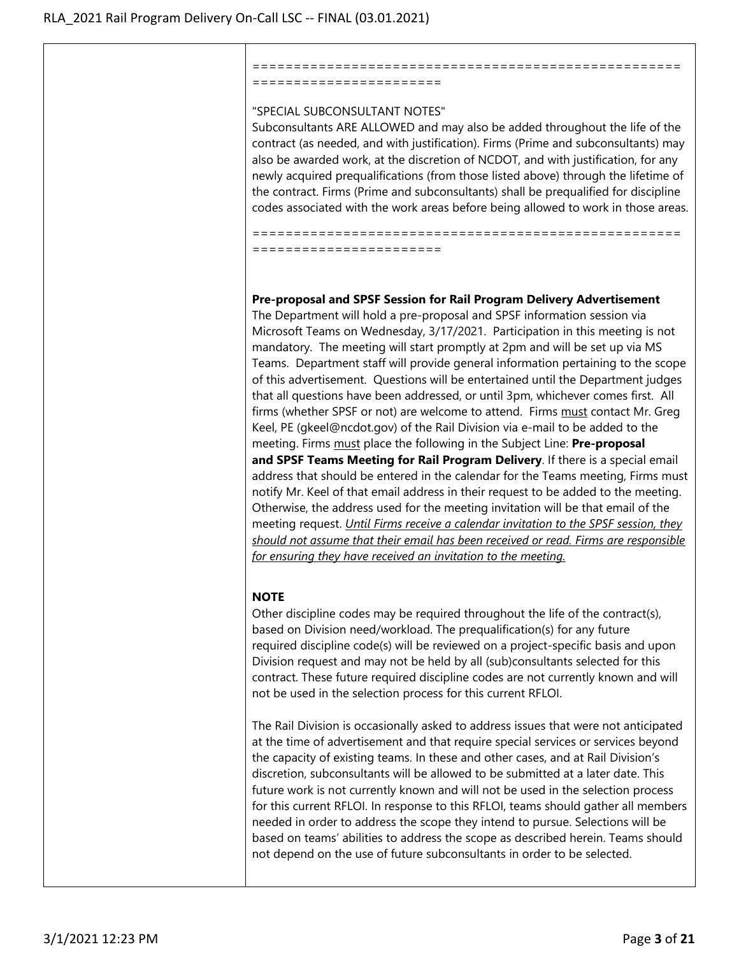# =======================

#### "SPECIAL SUBCONSULTANT NOTES"

Subconsultants ARE ALLOWED and may also be added throughout the life of the contract (as needed, and with justification). Firms (Prime and subconsultants) may also be awarded work, at the discretion of NCDOT, and with justification, for any newly acquired prequalifications (from those listed above) through the lifetime of the contract. Firms (Prime and subconsultants) shall be prequalified for discipline codes associated with the work areas before being allowed to work in those areas.

====================================================

==================================================== =======================

**Pre-proposal and SPSF Session for Rail Program Delivery Advertisement** The Department will hold a pre-proposal and SPSF information session via Microsoft Teams on Wednesday, 3/17/2021. Participation in this meeting is not mandatory. The meeting will start promptly at 2pm and will be set up via MS Teams. Department staff will provide general information pertaining to the scope of this advertisement. Questions will be entertained until the Department judges that all questions have been addressed, or until 3pm, whichever comes first. All firms (whether SPSF or not) are welcome to attend. Firms must contact Mr. Greg Keel, PE (gkeel@ncdot.gov) of the Rail Division via e-mail to be added to the meeting. Firms must place the following in the Subject Line: **Pre-proposal and SPSF Teams Meeting for Rail Program Delivery**. If there is a special email address that should be entered in the calendar for the Teams meeting, Firms must notify Mr. Keel of that email address in their request to be added to the meeting. Otherwise, the address used for the meeting invitation will be that email of the meeting request. *Until Firms receive a calendar invitation to the SPSF session, they should not assume that their email has been received or read. Firms are responsible for ensuring they have received an invitation to the meeting.*

## **NOTE**

Other discipline codes may be required throughout the life of the contract(s), based on Division need/workload. The prequalification(s) for any future required discipline code(s) will be reviewed on a project-specific basis and upon Division request and may not be held by all (sub)consultants selected for this contract. These future required discipline codes are not currently known and will not be used in the selection process for this current RFLOI.

The Rail Division is occasionally asked to address issues that were not anticipated at the time of advertisement and that require special services or services beyond the capacity of existing teams. In these and other cases, and at Rail Division's discretion, subconsultants will be allowed to be submitted at a later date. This future work is not currently known and will not be used in the selection process for this current RFLOI. In response to this RFLOI, teams should gather all members needed in order to address the scope they intend to pursue. Selections will be based on teams' abilities to address the scope as described herein. Teams should not depend on the use of future subconsultants in order to be selected.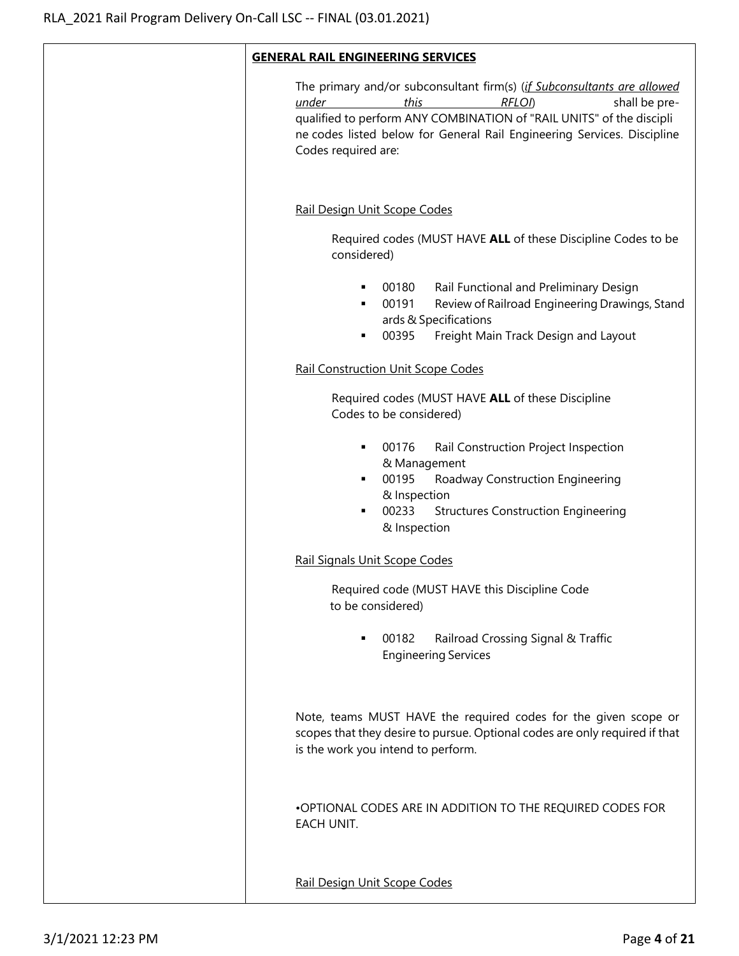| <b>GENERAL RAIL ENGINEERING SERVICES</b>                                                                                                                                                                                                                                                      |
|-----------------------------------------------------------------------------------------------------------------------------------------------------------------------------------------------------------------------------------------------------------------------------------------------|
| The primary and/or subconsultant firm(s) (if Subconsultants are allowed<br>this<br>RFLOI)<br>shall be pre-<br>under<br>qualified to perform ANY COMBINATION of "RAIL UNITS" of the discipli<br>ne codes listed below for General Rail Engineering Services. Discipline<br>Codes required are: |
| Rail Design Unit Scope Codes                                                                                                                                                                                                                                                                  |
| Required codes (MUST HAVE ALL of these Discipline Codes to be<br>considered)                                                                                                                                                                                                                  |
| Rail Functional and Preliminary Design<br>00180<br>٠<br>00191<br>Review of Railroad Engineering Drawings, Stand<br>٠<br>ards & Specifications<br>00395<br>Freight Main Track Design and Layout<br>٠                                                                                           |
| <b>Rail Construction Unit Scope Codes</b>                                                                                                                                                                                                                                                     |
| Required codes (MUST HAVE ALL of these Discipline<br>Codes to be considered)                                                                                                                                                                                                                  |
| 00176<br>Rail Construction Project Inspection<br>٠<br>& Management<br>00195<br>Roadway Construction Engineering<br>٠<br>& Inspection<br>00233<br><b>Structures Construction Engineering</b><br>٠<br>& Inspection                                                                              |
| Rail Signals Unit Scope Codes                                                                                                                                                                                                                                                                 |
| Required code (MUST HAVE this Discipline Code<br>to be considered)                                                                                                                                                                                                                            |
| 00182<br>Railroad Crossing Signal & Traffic<br><b>Engineering Services</b>                                                                                                                                                                                                                    |
| Note, teams MUST HAVE the required codes for the given scope or<br>scopes that they desire to pursue. Optional codes are only required if that<br>is the work you intend to perform.                                                                                                          |
| .OPTIONAL CODES ARE IN ADDITION TO THE REQUIRED CODES FOR<br>EACH UNIT.                                                                                                                                                                                                                       |
| Rail Design Unit Scope Codes                                                                                                                                                                                                                                                                  |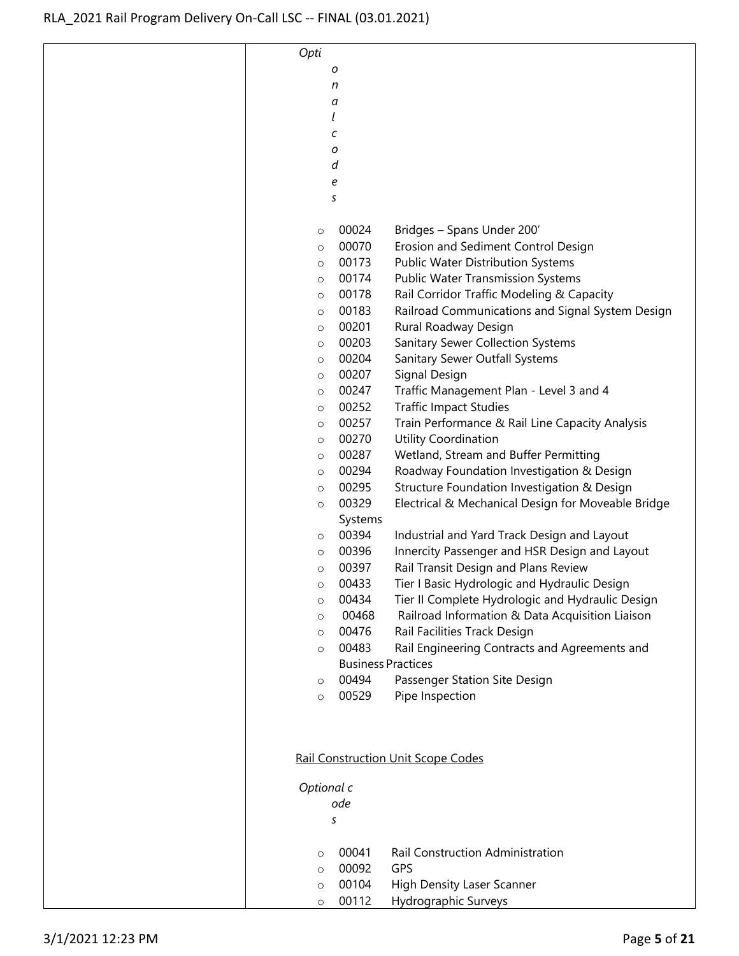| Opti       |                           |                                                    |
|------------|---------------------------|----------------------------------------------------|
|            | ο                         |                                                    |
|            | n                         |                                                    |
|            | а                         |                                                    |
|            | l                         |                                                    |
|            | с                         |                                                    |
|            | ο                         |                                                    |
|            | d                         |                                                    |
|            | е                         |                                                    |
|            | S                         |                                                    |
|            |                           |                                                    |
| $\circ$    | 00024                     | Bridges - Spans Under 200'                         |
| $\circ$    | 00070                     | Erosion and Sediment Control Design                |
| O          | 00173                     | Public Water Distribution Systems                  |
| O          | 00174                     | <b>Public Water Transmission Systems</b>           |
| $\circ$    | 00178                     | Rail Corridor Traffic Modeling & Capacity          |
| $\circ$    | 00183                     | Railroad Communications and Signal System Design   |
| $\circ$    | 00201                     | Rural Roadway Design                               |
| $\circ$    | 00203                     | Sanitary Sewer Collection Systems                  |
| $\circ$    | 00204                     | Sanitary Sewer Outfall Systems                     |
| $\circ$    | 00207                     | Signal Design                                      |
|            | 00247                     | Traffic Management Plan - Level 3 and 4            |
| $\circ$    | 00252                     | <b>Traffic Impact Studies</b>                      |
| O          | 00257                     |                                                    |
| O          | 00270                     | Train Performance & Rail Line Capacity Analysis    |
| $\circ$    |                           | Utility Coordination                               |
| $\circ$    | 00287<br>00294            | Wetland, Stream and Buffer Permitting              |
| $\circ$    |                           | Roadway Foundation Investigation & Design          |
| O          | 00295                     | Structure Foundation Investigation & Design        |
| $\circ$    | 00329                     | Electrical & Mechanical Design for Moveable Bridge |
|            | Systems                   |                                                    |
| $\circ$    | 00394                     | Industrial and Yard Track Design and Layout        |
| $\circ$    | 00396                     | Innercity Passenger and HSR Design and Layout      |
| O          | 00397                     | Rail Transit Design and Plans Review               |
| O          | 00433                     | Tier I Basic Hydrologic and Hydraulic Design       |
| O          | 00434                     | Tier II Complete Hydrologic and Hydraulic Design   |
| $\circ$    | 00468                     | Railroad Information & Data Acquisition Liaison    |
| $\circ$    | 00476                     | Rail Facilities Track Design                       |
| $\circ$    | 00483                     | Rail Engineering Contracts and Agreements and      |
|            | <b>Business Practices</b> |                                                    |
| $\circ$    | 00494                     | Passenger Station Site Design                      |
| $\circ$    | 00529                     | Pipe Inspection                                    |
|            |                           |                                                    |
|            |                           |                                                    |
|            |                           |                                                    |
|            |                           | <b>Rail Construction Unit Scope Codes</b>          |
|            |                           |                                                    |
| Optional c | ode                       |                                                    |
|            |                           |                                                    |
|            | S                         |                                                    |
|            |                           |                                                    |
| $\circ$    | 00041                     | Rail Construction Administration                   |
| $\circ$    | 00092                     | GPS                                                |
| O          | 00104                     | <b>High Density Laser Scanner</b>                  |
| O          | 00112                     | Hydrographic Surveys                               |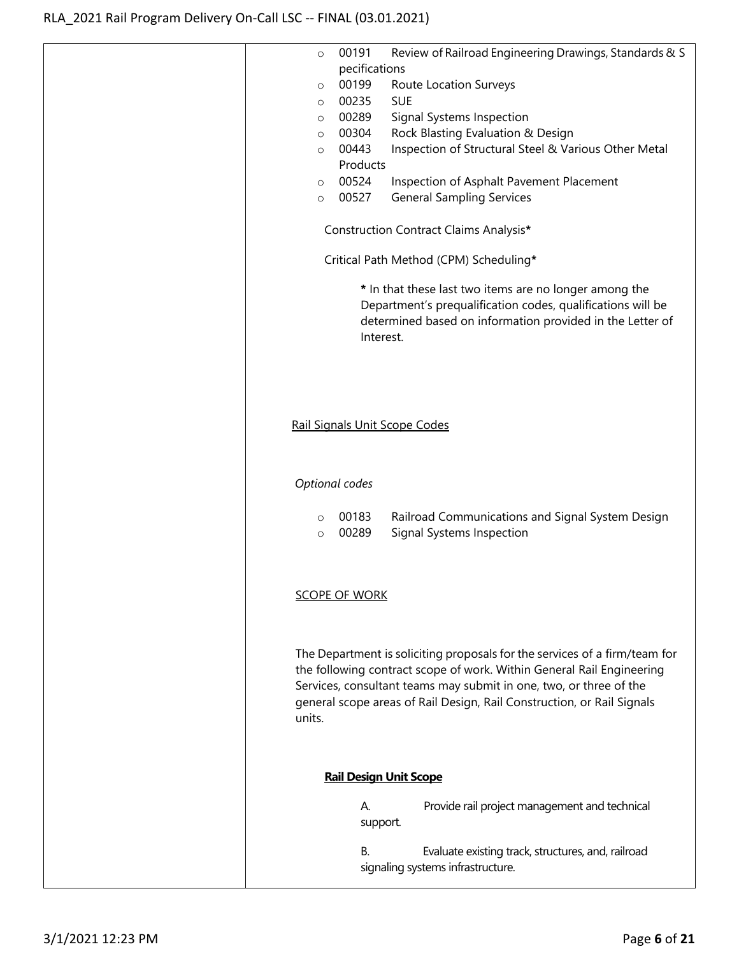| Review of Railroad Engineering Drawings, Standards & S<br>00191<br>$\circ$                                                                                                                                                                                                                                    |
|---------------------------------------------------------------------------------------------------------------------------------------------------------------------------------------------------------------------------------------------------------------------------------------------------------------|
| pecifications                                                                                                                                                                                                                                                                                                 |
| 00199<br>Route Location Surveys<br>$\circ$                                                                                                                                                                                                                                                                    |
| 00235<br><b>SUE</b><br>$\circ$                                                                                                                                                                                                                                                                                |
| 00289<br>Signal Systems Inspection<br>$\circ$                                                                                                                                                                                                                                                                 |
| 00304<br>Rock Blasting Evaluation & Design<br>$\circ$                                                                                                                                                                                                                                                         |
| Inspection of Structural Steel & Various Other Metal<br>00443<br>$\circ$                                                                                                                                                                                                                                      |
| Products                                                                                                                                                                                                                                                                                                      |
| 00524<br>Inspection of Asphalt Pavement Placement<br>$\circ$                                                                                                                                                                                                                                                  |
| 00527<br><b>General Sampling Services</b><br>$\circ$                                                                                                                                                                                                                                                          |
| Construction Contract Claims Analysis*                                                                                                                                                                                                                                                                        |
|                                                                                                                                                                                                                                                                                                               |
| Critical Path Method (CPM) Scheduling*                                                                                                                                                                                                                                                                        |
| * In that these last two items are no longer among the<br>Department's prequalification codes, qualifications will be<br>determined based on information provided in the Letter of<br>Interest.                                                                                                               |
| Rail Signals Unit Scope Codes                                                                                                                                                                                                                                                                                 |
| Optional codes                                                                                                                                                                                                                                                                                                |
| 00183<br>Railroad Communications and Signal System Design<br>$\circ$<br>00289<br>Signal Systems Inspection<br>$\circ$                                                                                                                                                                                         |
| <b>SCOPE OF WORK</b>                                                                                                                                                                                                                                                                                          |
|                                                                                                                                                                                                                                                                                                               |
|                                                                                                                                                                                                                                                                                                               |
| The Department is soliciting proposals for the services of a firm/team for<br>the following contract scope of work. Within General Rail Engineering<br>Services, consultant teams may submit in one, two, or three of the<br>general scope areas of Rail Design, Rail Construction, or Rail Signals<br>units. |
| <b>Rail Design Unit Scope</b>                                                                                                                                                                                                                                                                                 |
|                                                                                                                                                                                                                                                                                                               |
| Provide rail project management and technical<br>А.<br>support.                                                                                                                                                                                                                                               |
| В.<br>Evaluate existing track, structures, and, railroad<br>signaling systems infrastructure.                                                                                                                                                                                                                 |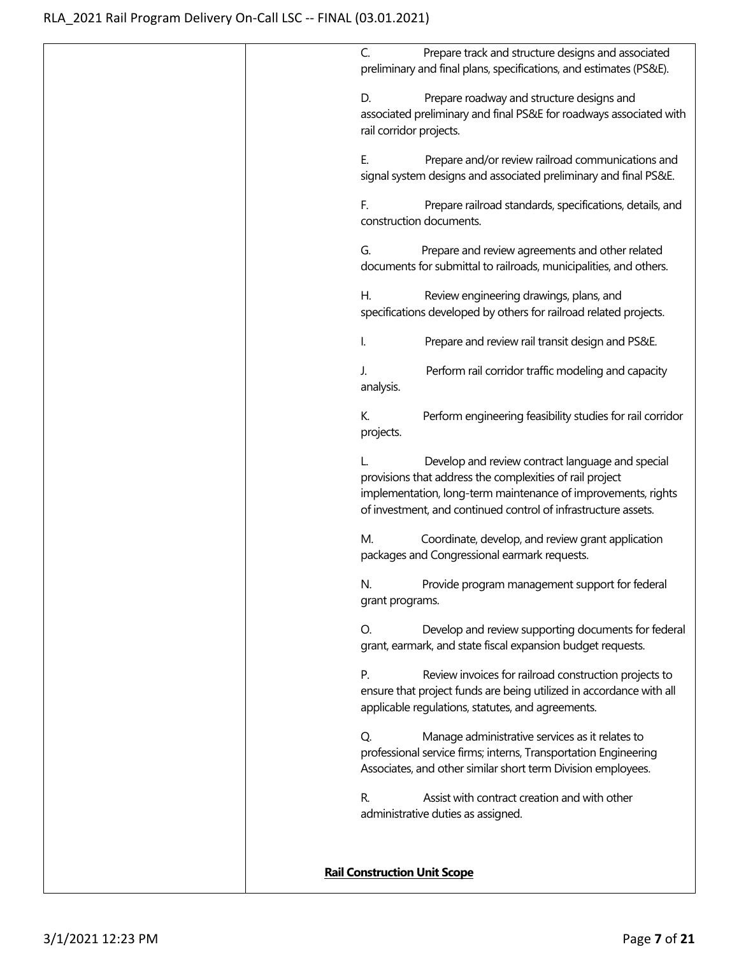| Prepare track and structure designs and associated<br>C.                                                                                                                                                                                        |
|-------------------------------------------------------------------------------------------------------------------------------------------------------------------------------------------------------------------------------------------------|
| preliminary and final plans, specifications, and estimates (PS&E).                                                                                                                                                                              |
| Prepare roadway and structure designs and<br>D.                                                                                                                                                                                                 |
| associated preliminary and final PS&E for roadways associated with<br>rail corridor projects.                                                                                                                                                   |
| Е.<br>Prepare and/or review railroad communications and<br>signal system designs and associated preliminary and final PS&E.                                                                                                                     |
| F.<br>Prepare railroad standards, specifications, details, and<br>construction documents.                                                                                                                                                       |
| Prepare and review agreements and other related<br>G.<br>documents for submittal to railroads, municipalities, and others.                                                                                                                      |
| Review engineering drawings, plans, and<br>Η.<br>specifications developed by others for railroad related projects.                                                                                                                              |
| Prepare and review rail transit design and PS&E.<br>I.                                                                                                                                                                                          |
| Perform rail corridor traffic modeling and capacity<br>J.<br>analysis.                                                                                                                                                                          |
| К.<br>Perform engineering feasibility studies for rail corridor<br>projects.                                                                                                                                                                    |
| Develop and review contract language and special<br>provisions that address the complexities of rail project<br>implementation, long-term maintenance of improvements, rights<br>of investment, and continued control of infrastructure assets. |
| М.<br>Coordinate, develop, and review grant application<br>packages and Congressional earmark requests.                                                                                                                                         |
| Provide program management support for federal<br>N.<br>grant programs.                                                                                                                                                                         |
| Develop and review supporting documents for federal<br>O.<br>grant, earmark, and state fiscal expansion budget requests.                                                                                                                        |
| P.<br>Review invoices for railroad construction projects to<br>ensure that project funds are being utilized in accordance with all<br>applicable regulations, statutes, and agreements.                                                         |
| Q.<br>Manage administrative services as it relates to<br>professional service firms; interns, Transportation Engineering<br>Associates, and other similar short term Division employees.                                                        |
| R.<br>Assist with contract creation and with other<br>administrative duties as assigned.                                                                                                                                                        |
| <b>Rail Construction Unit Scope</b>                                                                                                                                                                                                             |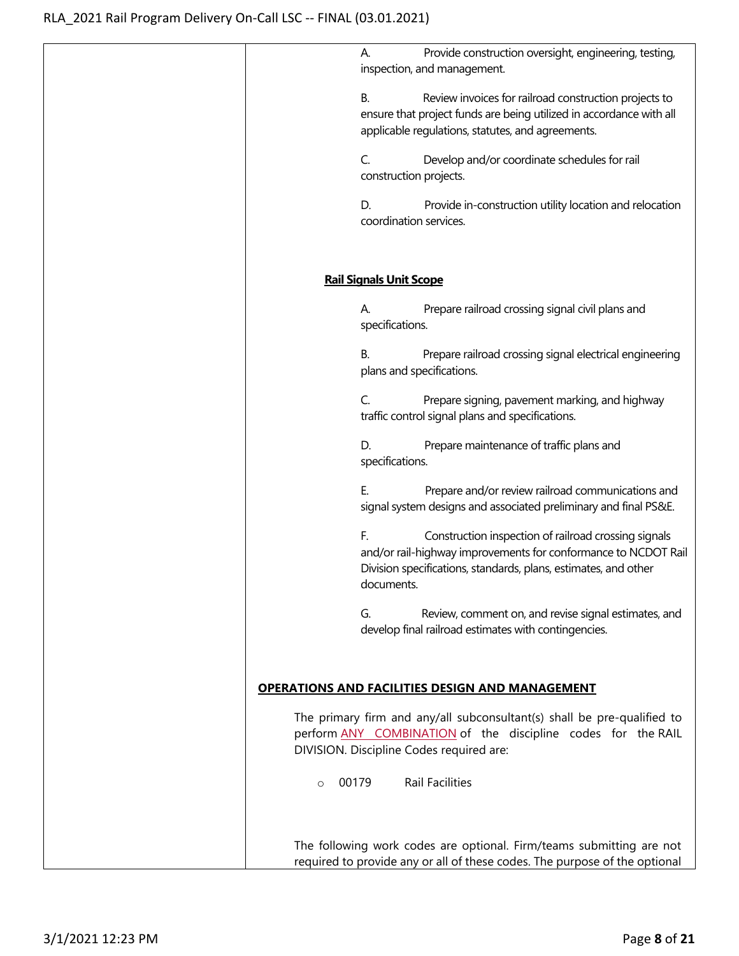|         | Provide construction oversight, engineering, testing,<br>А.<br>inspection, and management.                                                                                                                    |
|---------|---------------------------------------------------------------------------------------------------------------------------------------------------------------------------------------------------------------|
|         | Review invoices for railroad construction projects to<br>В.<br>ensure that project funds are being utilized in accordance with all<br>applicable regulations, statutes, and agreements.                       |
|         | Develop and/or coordinate schedules for rail<br>C.<br>construction projects.                                                                                                                                  |
|         | D.<br>Provide in-construction utility location and relocation<br>coordination services.                                                                                                                       |
|         | <b>Rail Signals Unit Scope</b>                                                                                                                                                                                |
|         | Prepare railroad crossing signal civil plans and<br>А.<br>specifications.                                                                                                                                     |
|         | Prepare railroad crossing signal electrical engineering<br>В.<br>plans and specifications.                                                                                                                    |
|         | C.<br>Prepare signing, pavement marking, and highway<br>traffic control signal plans and specifications.                                                                                                      |
|         | D.<br>Prepare maintenance of traffic plans and<br>specifications.                                                                                                                                             |
|         | Е.<br>Prepare and/or review railroad communications and<br>signal system designs and associated preliminary and final PS&E.                                                                                   |
|         | F.<br>Construction inspection of railroad crossing signals<br>and/or rail-highway improvements for conformance to NCDOT Rail<br>Division specifications, standards, plans, estimates, and other<br>documents. |
|         | Review, comment on, and revise signal estimates, and<br>G.<br>develop final railroad estimates with contingencies.                                                                                            |
|         | <b>OPERATIONS AND FACILITIES DESIGN AND MANAGEMENT</b>                                                                                                                                                        |
|         | The primary firm and any/all subconsultant(s) shall be pre-qualified to<br>perform ANY COMBINATION of the discipline codes for the RAIL<br>DIVISION. Discipline Codes required are:                           |
| $\circ$ | Rail Facilities<br>00179                                                                                                                                                                                      |
|         | The following work codes are optional. Firm/teams submitting are not<br>required to provide any or all of these codes. The purpose of the optional                                                            |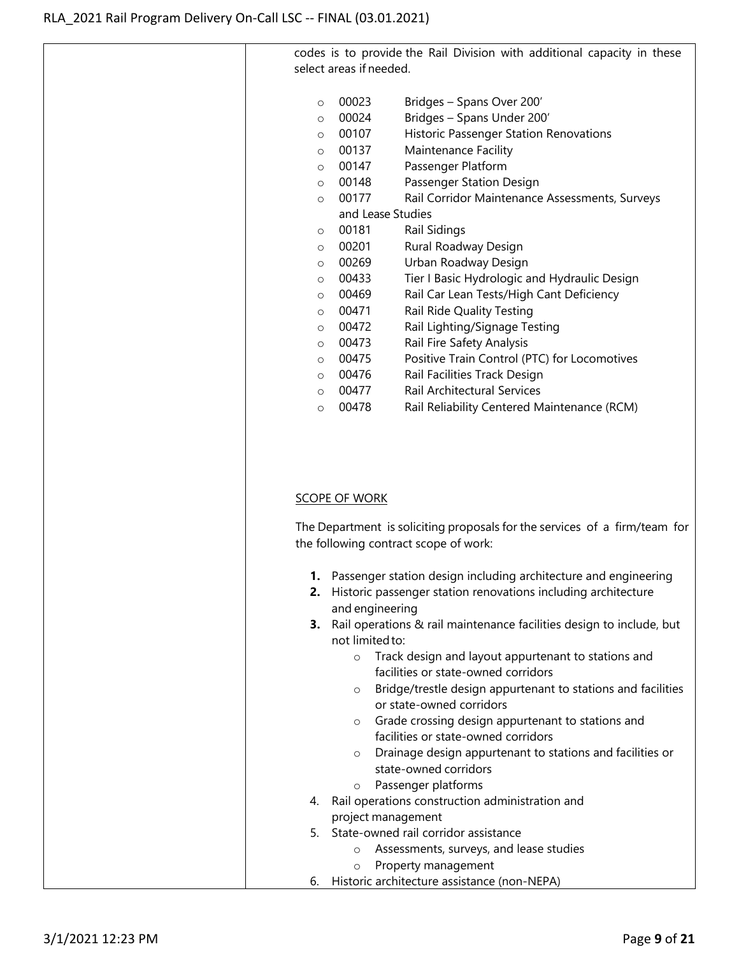codes is to provide the Rail Division with additional capacity in these select areas if needed. o 00023 Bridges – Spans Over 200' o 00024 Bridges – Spans Under 200' o 00107 Historic Passenger Station Renovations o 00137 Maintenance Facility o 00147 Passenger Platform o 00148 Passenger Station Design o 00177 Rail Corridor Maintenance Assessments, Surveys and Lease Studies o 00181 Rail Sidings o 00201 Rural Roadway Design o 00269 Urban Roadway Design o 00433 Tier I Basic Hydrologic and Hydraulic Design o 00469 Rail Car Lean Tests/High Cant Deficiency o 00471 Rail Ride Quality Testing o 00472 Rail Lighting/Signage Testing o 00473 Rail Fire Safety Analysis o 00475 Positive Train Control (PTC) for Locomotives o 00476 Rail Facilities Track Design o 00477 Rail Architectural Services o 00478 Rail Reliability Centered Maintenance (RCM)

### SCOPE OF WORK

The Department is soliciting proposals for the services of a firm/team for the following contract scope of work:

- **1.** Passenger station design including architecture and engineering
- **2.** Historic passenger station renovations including architecture and engineering
- **3.** Rail operations & rail maintenance facilities design to include, but not limitedto:
	- o Track design and layout appurtenant to stations and facilities or state-owned corridors
	- o Bridge/trestle design appurtenant to stations and facilities or state-owned corridors
	- o Grade crossing design appurtenant to stations and facilities or state-owned corridors
	- o Drainage design appurtenant to stations and facilities or state-owned corridors
	- o Passenger platforms
- 4. Rail operations construction administration and project management
- 5. State-owned rail corridor assistance
	- o Assessments, surveys, and lease studies
	- o Property management
- 6. Historic architecture assistance (non-NEPA)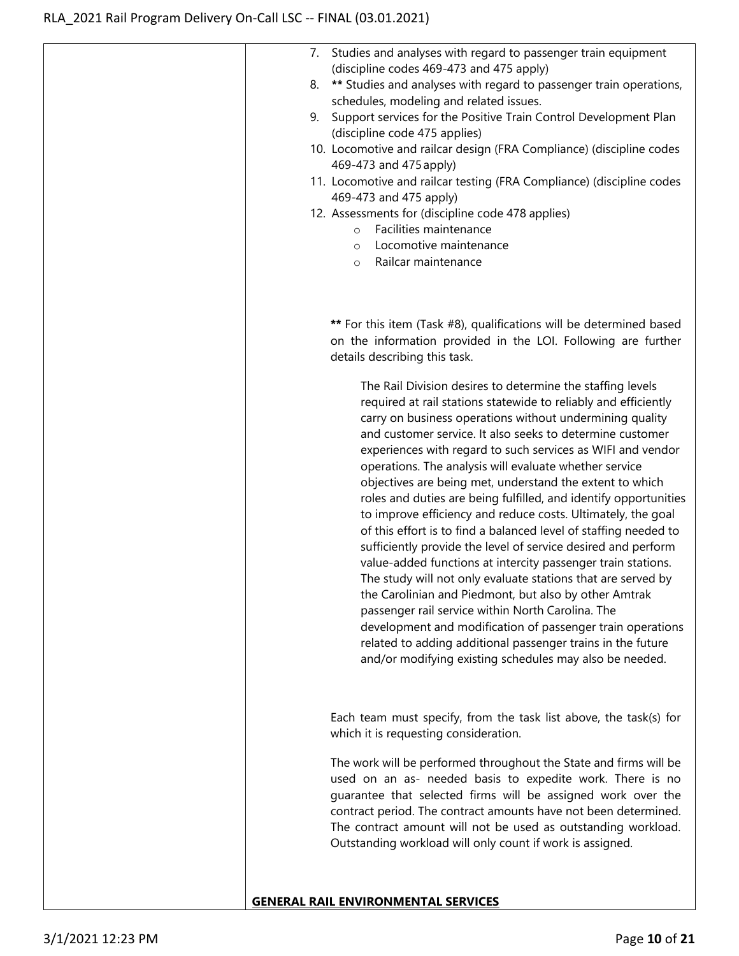| 7. Studies and analyses with regard to passenger train equipment<br>(discipline codes 469-473 and 475 apply)<br>** Studies and analyses with regard to passenger train operations,<br>8.<br>schedules, modeling and related issues.<br>Support services for the Positive Train Control Development Plan<br>9.<br>(discipline code 475 applies)<br>10. Locomotive and railcar design (FRA Compliance) (discipline codes<br>469-473 and 475 apply)<br>11. Locomotive and railcar testing (FRA Compliance) (discipline codes<br>469-473 and 475 apply)<br>12. Assessments for (discipline code 478 applies)<br>Facilities maintenance<br>$\circ$<br>Locomotive maintenance<br>$\circ$<br>Railcar maintenance<br>$\circ$                                                                                                                                                                                                                                                                                                                                                                                                                                       |
|------------------------------------------------------------------------------------------------------------------------------------------------------------------------------------------------------------------------------------------------------------------------------------------------------------------------------------------------------------------------------------------------------------------------------------------------------------------------------------------------------------------------------------------------------------------------------------------------------------------------------------------------------------------------------------------------------------------------------------------------------------------------------------------------------------------------------------------------------------------------------------------------------------------------------------------------------------------------------------------------------------------------------------------------------------------------------------------------------------------------------------------------------------|
| ** For this item (Task #8), qualifications will be determined based<br>on the information provided in the LOI. Following are further<br>details describing this task.                                                                                                                                                                                                                                                                                                                                                                                                                                                                                                                                                                                                                                                                                                                                                                                                                                                                                                                                                                                      |
| The Rail Division desires to determine the staffing levels<br>required at rail stations statewide to reliably and efficiently<br>carry on business operations without undermining quality<br>and customer service. It also seeks to determine customer<br>experiences with regard to such services as WIFI and vendor<br>operations. The analysis will evaluate whether service<br>objectives are being met, understand the extent to which<br>roles and duties are being fulfilled, and identify opportunities<br>to improve efficiency and reduce costs. Ultimately, the goal<br>of this effort is to find a balanced level of staffing needed to<br>sufficiently provide the level of service desired and perform<br>value-added functions at intercity passenger train stations.<br>The study will not only evaluate stations that are served by<br>the Carolinian and Piedmont, but also by other Amtrak<br>passenger rail service within North Carolina. The<br>development and modification of passenger train operations<br>related to adding additional passenger trains in the future<br>and/or modifying existing schedules may also be needed. |
| Each team must specify, from the task list above, the task(s) for<br>which it is requesting consideration.                                                                                                                                                                                                                                                                                                                                                                                                                                                                                                                                                                                                                                                                                                                                                                                                                                                                                                                                                                                                                                                 |
| The work will be performed throughout the State and firms will be<br>used on an as- needed basis to expedite work. There is no<br>guarantee that selected firms will be assigned work over the<br>contract period. The contract amounts have not been determined.<br>The contract amount will not be used as outstanding workload.<br>Outstanding workload will only count if work is assigned.                                                                                                                                                                                                                                                                                                                                                                                                                                                                                                                                                                                                                                                                                                                                                            |
| <b>GENERAL RAIL ENVIRONMENTAL SERVICES</b>                                                                                                                                                                                                                                                                                                                                                                                                                                                                                                                                                                                                                                                                                                                                                                                                                                                                                                                                                                                                                                                                                                                 |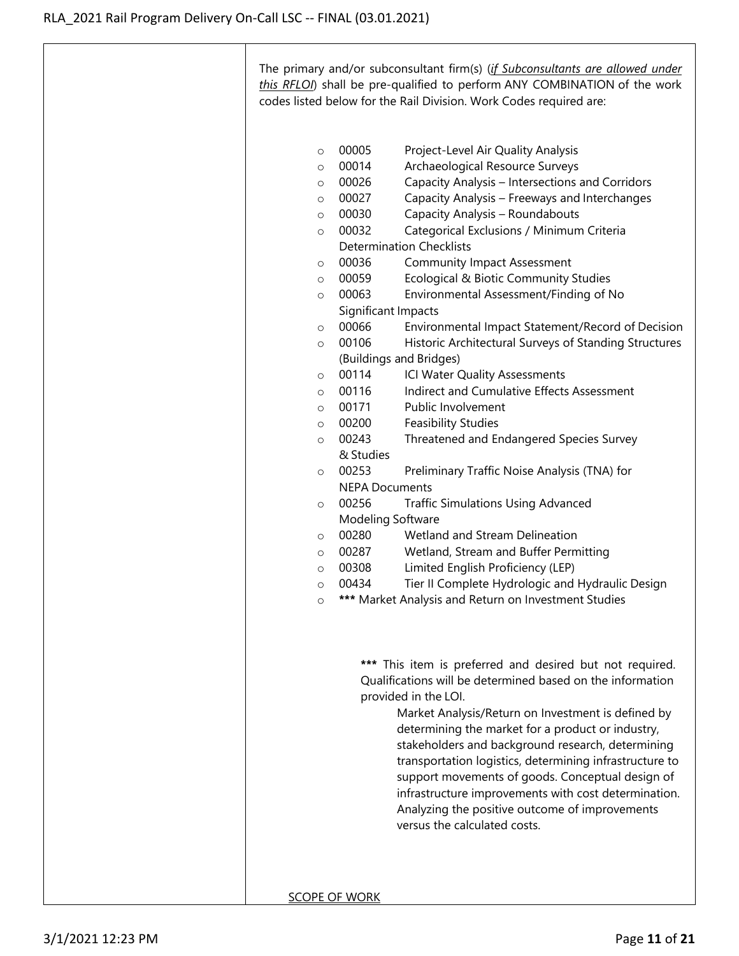The primary and/or subconsultant firm(s) (*if Subconsultants are allowed under this RFLOI*) shall be pre-qualified to perform ANY COMBINATION of the work codes listed below for the Rail Division. Work Codes required are:

- o 00005 Project-Level Air Quality Analysis
- o 00014 Archaeological Resource Surveys
- o 00026 Capacity Analysis Intersections and Corridors
- o 00027 Capacity Analysis Freeways and Interchanges
- o 00030 Capacity Analysis Roundabouts
- o 00032 Categorical Exclusions / Minimum Criteria Determination Checklists
- o 00036 Community Impact Assessment
- o 00059 Ecological & Biotic Community Studies
- o 00063 Environmental Assessment/Finding of No Significant Impacts
- o 00066 Environmental Impact Statement/Record of Decision
- o 00106 Historic Architectural Surveys of Standing Structures (Buildings and Bridges)
- o 00114 ICI Water Quality Assessments
- o 00116 Indirect and Cumulative Effects Assessment
- o 00171 Public Involvement
- o 00200 Feasibility Studies
- o 00243 Threatened and Endangered Species Survey & Studies
- o 00253 Preliminary Traffic Noise Analysis (TNA) for NEPA Documents
- o 00256 Traffic Simulations Using Advanced Modeling Software
- o 00280 Wetland and Stream Delineation
- o 00287 Wetland, Stream and Buffer Permitting
- o 00308 Limited English Proficiency (LEP)
- o 00434 Tier II Complete Hydrologic and Hydraulic Design
- o **\*\*\*** Market Analysis and Return on Investment Studies

**\*\*\*** This item is preferred and desired but not required. Qualifications will be determined based on the information provided in the LOI.

> Market Analysis/Return on Investment is defined by determining the market for a product or industry, stakeholders and background research, determining transportation logistics, determining infrastructure to support movements of goods. Conceptual design of infrastructure improvements with cost determination. Analyzing the positive outcome of improvements versus the calculated costs.

SCOPE OF WORK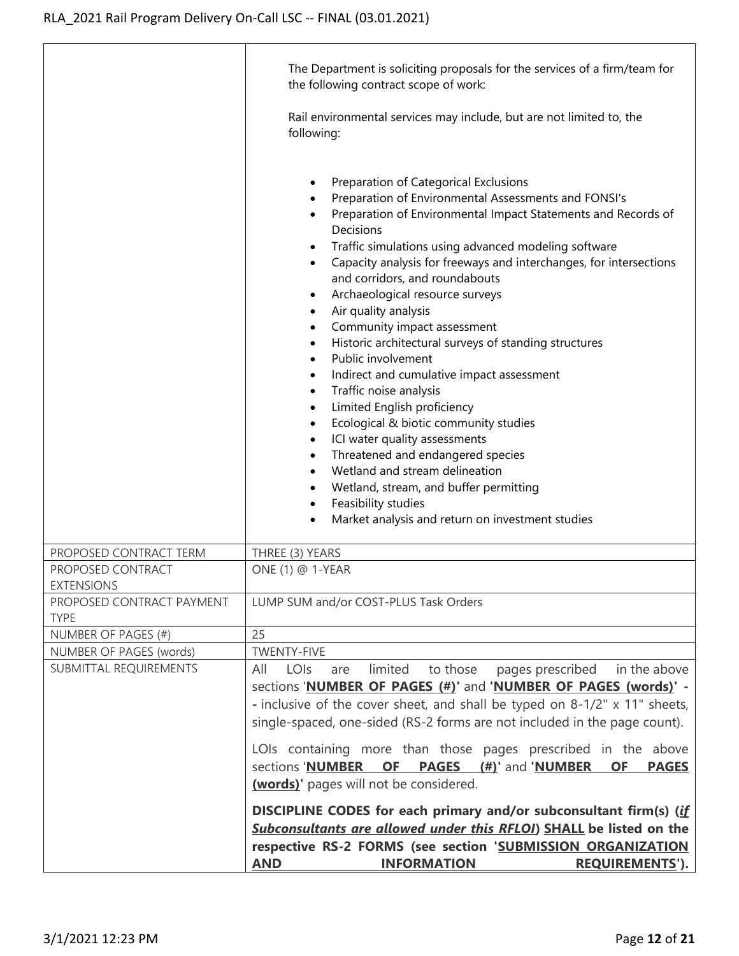|                                          | The Department is soliciting proposals for the services of a firm/team for<br>the following contract scope of work:                                                                                                                                                                                                                                                                                                                                                                                                                                                                                                                                                                                                                                                                                                                                                                                                                                                                                                                                                                                                           |
|------------------------------------------|-------------------------------------------------------------------------------------------------------------------------------------------------------------------------------------------------------------------------------------------------------------------------------------------------------------------------------------------------------------------------------------------------------------------------------------------------------------------------------------------------------------------------------------------------------------------------------------------------------------------------------------------------------------------------------------------------------------------------------------------------------------------------------------------------------------------------------------------------------------------------------------------------------------------------------------------------------------------------------------------------------------------------------------------------------------------------------------------------------------------------------|
|                                          | Rail environmental services may include, but are not limited to, the<br>following:                                                                                                                                                                                                                                                                                                                                                                                                                                                                                                                                                                                                                                                                                                                                                                                                                                                                                                                                                                                                                                            |
|                                          | Preparation of Categorical Exclusions<br>$\bullet$<br>Preparation of Environmental Assessments and FONSI's<br>Preparation of Environmental Impact Statements and Records of<br>Decisions<br>Traffic simulations using advanced modeling software<br>$\bullet$<br>Capacity analysis for freeways and interchanges, for intersections<br>$\bullet$<br>and corridors, and roundabouts<br>Archaeological resource surveys<br>$\bullet$<br>Air quality analysis<br>$\bullet$<br>Community impact assessment<br>$\bullet$<br>Historic architectural surveys of standing structures<br>$\bullet$<br>Public involvement<br>$\bullet$<br>Indirect and cumulative impact assessment<br>$\bullet$<br>Traffic noise analysis<br>$\bullet$<br>Limited English proficiency<br>$\bullet$<br>Ecological & biotic community studies<br>$\bullet$<br>ICI water quality assessments<br>$\bullet$<br>Threatened and endangered species<br>$\bullet$<br>Wetland and stream delineation<br>$\bullet$<br>Wetland, stream, and buffer permitting<br>$\bullet$<br>Feasibility studies<br>$\bullet$<br>Market analysis and return on investment studies |
| PROPOSED CONTRACT TERM                   | THREE (3) YEARS                                                                                                                                                                                                                                                                                                                                                                                                                                                                                                                                                                                                                                                                                                                                                                                                                                                                                                                                                                                                                                                                                                               |
| PROPOSED CONTRACT<br><b>EXTENSIONS</b>   | ONE (1) @ 1-YEAR                                                                                                                                                                                                                                                                                                                                                                                                                                                                                                                                                                                                                                                                                                                                                                                                                                                                                                                                                                                                                                                                                                              |
| PROPOSED CONTRACT PAYMENT<br><b>TYPE</b> | LUMP SUM and/or COST-PLUS Task Orders                                                                                                                                                                                                                                                                                                                                                                                                                                                                                                                                                                                                                                                                                                                                                                                                                                                                                                                                                                                                                                                                                         |
| NUMBER OF PAGES (#)                      | 25                                                                                                                                                                                                                                                                                                                                                                                                                                                                                                                                                                                                                                                                                                                                                                                                                                                                                                                                                                                                                                                                                                                            |
| NUMBER OF PAGES (words)                  | <b>TWENTY-FIVE</b>                                                                                                                                                                                                                                                                                                                                                                                                                                                                                                                                                                                                                                                                                                                                                                                                                                                                                                                                                                                                                                                                                                            |
| SUBMITTAL REQUIREMENTS                   | limited<br>to those<br>All<br>LOIs<br>pages prescribed in the above<br>are<br>sections 'NUMBER OF PAGES (#)' and 'NUMBER OF PAGES (words)' -<br>- inclusive of the cover sheet, and shall be typed on 8-1/2" x 11" sheets,<br>single-spaced, one-sided (RS-2 forms are not included in the page count).                                                                                                                                                                                                                                                                                                                                                                                                                                                                                                                                                                                                                                                                                                                                                                                                                       |
|                                          | LOIs containing more than those pages prescribed in the above<br>sections 'NUMBER<br><b>OF</b><br>PAGES (#)' and 'NUMBER<br><b>OF</b><br><b>PAGES</b><br>(words)' pages will not be considered.                                                                                                                                                                                                                                                                                                                                                                                                                                                                                                                                                                                                                                                                                                                                                                                                                                                                                                                               |
|                                          | DISCIPLINE CODES for each primary and/or subconsultant firm(s) (if<br>Subconsultants are allowed under this RFLOI) SHALL be listed on the<br>respective RS-2 FORMS (see section 'SUBMISSION ORGANIZATION<br><b>AND</b><br><b>REQUIREMENTS').</b><br><b>INFORMATION</b>                                                                                                                                                                                                                                                                                                                                                                                                                                                                                                                                                                                                                                                                                                                                                                                                                                                        |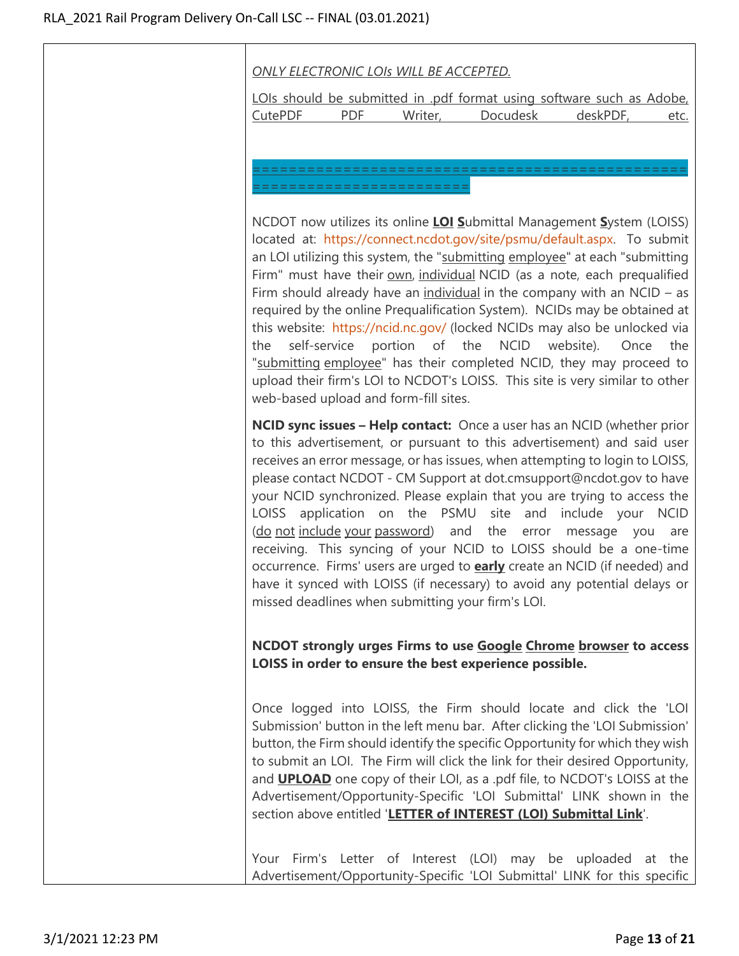## *ONLY ELECTRONIC LOIs WILL BE ACCEPTED.*

LOIs should be submitted in .pdf format using software such as Adobe, CutePDF PDF Writer, Docudesk deskPDF, etc.

================================================ ========================

NCDOT now utilizes its online **LOI S**ubmittal Management **S**ystem (LOISS) located at: [https://connect.ncdot.gov/site/psmu/default.aspx.](https://connect.ncdot.gov/site/psmu/default.aspx) To submit an LOI utilizing this system, the "submitting employee" at each "submitting Firm" must have their own, individual NCID (as a note, each prequalified Firm should already have an individual in the company with an  $NCID - as$ required by the online Prequalification System). NCIDs may be obtained at this website: <https://ncid.nc.gov/> (locked NCIDs may also be unlocked via the self-service portion of the NCID website). Once the "submitting employee" has their completed NCID, they may proceed to upload their firm's LOI to NCDOT's LOISS. This site is very similar to other web-based upload and form-fill sites.

**NCID sync issues – Help contact:** Once a user has an NCID (whether prior to this advertisement, or pursuant to this advertisement) and said user receives an error message, or has issues, when attempting to login to LOISS, please contact NCDOT - CM Support at dot.cmsupport@ncdot.gov to have your NCID synchronized. Please explain that you are trying to access the LOISS application on the PSMU site and include your NCID (do not include your password) and the error message you are receiving. This syncing of your NCID to LOISS should be a one-time occurrence. Firms' users are urged to **early** create an NCID (if needed) and have it synced with LOISS (if necessary) to avoid any potential delays or missed deadlines when submitting your firm's LOI.

**NCDOT strongly urges Firms to use Google Chrome browser to access LOISS in order to ensure the best experience possible.**

Once logged into LOISS, the Firm should locate and click the 'LOI Submission' button in the left menu bar. After clicking the 'LOI Submission' button, the Firm should identify the specific Opportunity for which they wish to submit an LOI. The Firm will click the link for their desired Opportunity, and **UPLOAD** one copy of their LOI, as a .pdf file, to NCDOT's LOISS at the Advertisement/Opportunity-Specific 'LOI Submittal' LINK shown in the section above entitled '**LETTER of INTEREST (LOI) Submittal Link**'.

Your Firm's Letter of Interest (LOI) may be uploaded at the Advertisement/Opportunity-Specific 'LOI Submittal' LINK for this specific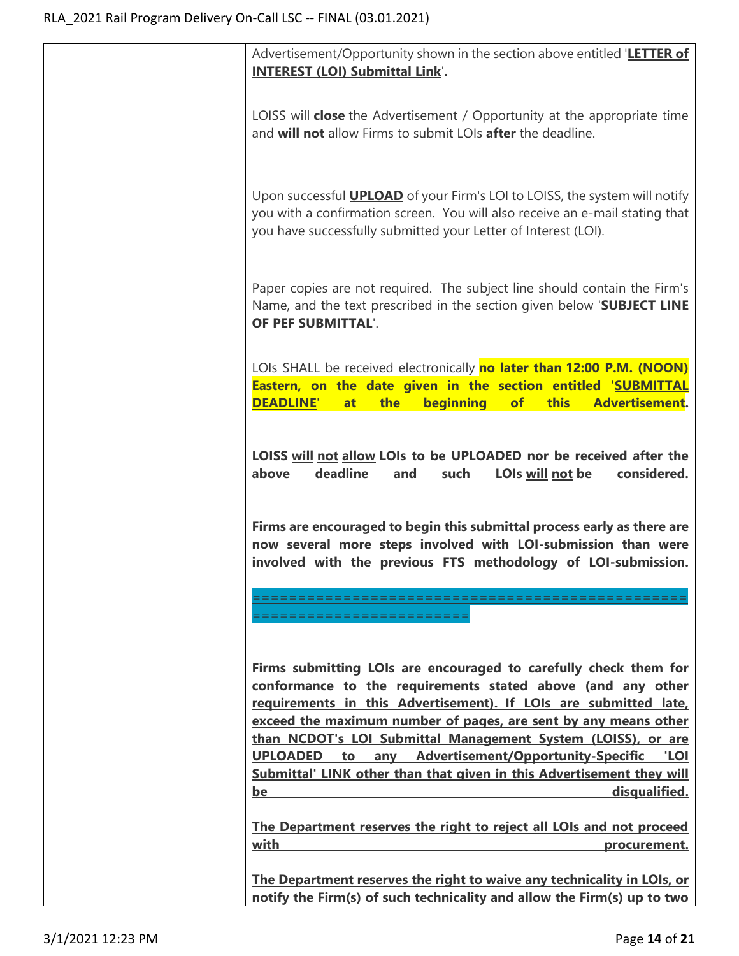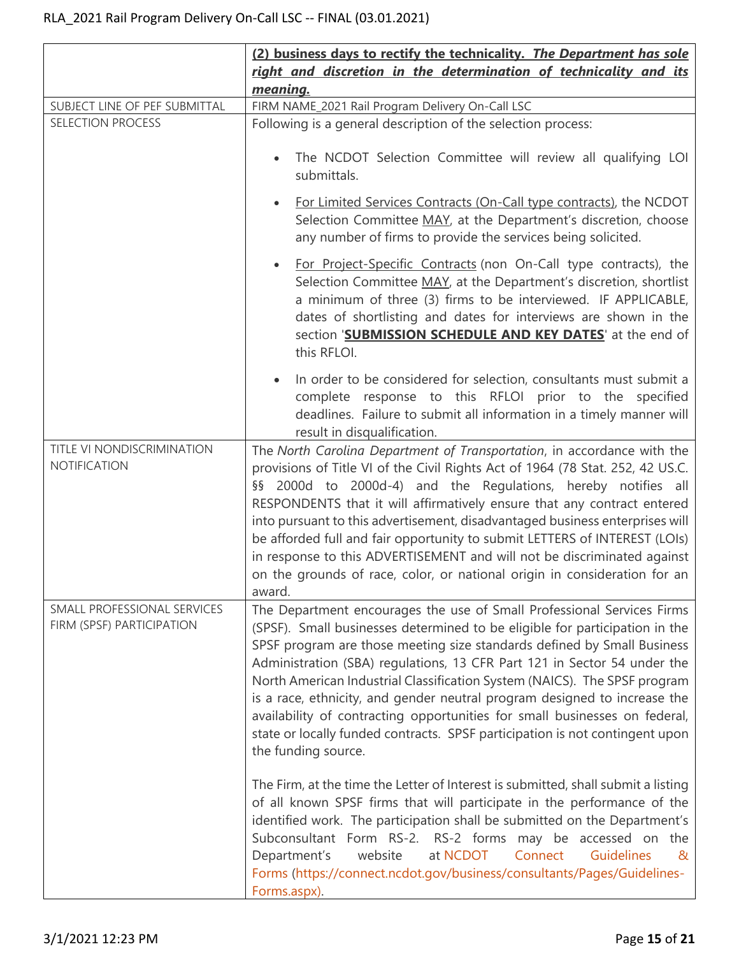|                                                          | (2) business days to rectify the technicality. The Department has sole                                                                                                                                                                                                                                                                                                                                                                                                                                                                                                                                                                                      |
|----------------------------------------------------------|-------------------------------------------------------------------------------------------------------------------------------------------------------------------------------------------------------------------------------------------------------------------------------------------------------------------------------------------------------------------------------------------------------------------------------------------------------------------------------------------------------------------------------------------------------------------------------------------------------------------------------------------------------------|
|                                                          | right and discretion in the determination of technicality and its<br>meaning.                                                                                                                                                                                                                                                                                                                                                                                                                                                                                                                                                                               |
| SUBJECT LINE OF PEF SUBMITTAL                            | FIRM NAME_2021 Rail Program Delivery On-Call LSC                                                                                                                                                                                                                                                                                                                                                                                                                                                                                                                                                                                                            |
| <b>SELECTION PROCESS</b>                                 | Following is a general description of the selection process:                                                                                                                                                                                                                                                                                                                                                                                                                                                                                                                                                                                                |
|                                                          | The NCDOT Selection Committee will review all qualifying LOI<br>submittals.                                                                                                                                                                                                                                                                                                                                                                                                                                                                                                                                                                                 |
|                                                          | For Limited Services Contracts (On-Call type contracts), the NCDOT<br>Selection Committee MAY, at the Department's discretion, choose<br>any number of firms to provide the services being solicited.                                                                                                                                                                                                                                                                                                                                                                                                                                                       |
|                                                          | For Project-Specific Contracts (non On-Call type contracts), the<br>Selection Committee MAY, at the Department's discretion, shortlist<br>a minimum of three (3) firms to be interviewed. IF APPLICABLE,<br>dates of shortlisting and dates for interviews are shown in the<br>section 'SUBMISSION SCHEDULE AND KEY DATES' at the end of<br>this RFLOI.                                                                                                                                                                                                                                                                                                     |
|                                                          | In order to be considered for selection, consultants must submit a<br>complete response to this RFLOI prior to the specified<br>deadlines. Failure to submit all information in a timely manner will<br>result in disqualification.                                                                                                                                                                                                                                                                                                                                                                                                                         |
| TITLE VI NONDISCRIMINATION<br>NOTIFICATION               | The North Carolina Department of Transportation, in accordance with the<br>provisions of Title VI of the Civil Rights Act of 1964 (78 Stat. 252, 42 US.C.<br>§§ 2000d to 2000d-4) and the Regulations, hereby notifies all<br>RESPONDENTS that it will affirmatively ensure that any contract entered<br>into pursuant to this advertisement, disadvantaged business enterprises will<br>be afforded full and fair opportunity to submit LETTERS of INTEREST (LOIs)<br>in response to this ADVERTISEMENT and will not be discriminated against<br>on the grounds of race, color, or national origin in consideration for an<br>award.                       |
| SMALL PROFESSIONAL SERVICES<br>FIRM (SPSF) PARTICIPATION | The Department encourages the use of Small Professional Services Firms<br>(SPSF). Small businesses determined to be eligible for participation in the<br>SPSF program are those meeting size standards defined by Small Business<br>Administration (SBA) regulations, 13 CFR Part 121 in Sector 54 under the<br>North American Industrial Classification System (NAICS). The SPSF program<br>is a race, ethnicity, and gender neutral program designed to increase the<br>availability of contracting opportunities for small businesses on federal,<br>state or locally funded contracts. SPSF participation is not contingent upon<br>the funding source. |
|                                                          | The Firm, at the time the Letter of Interest is submitted, shall submit a listing<br>of all known SPSF firms that will participate in the performance of the<br>identified work. The participation shall be submitted on the Department's<br>Subconsultant Form RS-2. RS-2 forms may be accessed on the<br>at NCDOT<br>Connect<br><b>Guidelines</b><br>Department's<br>website<br>&<br>Forms (https://connect.ncdot.gov/business/consultants/Pages/Guidelines-<br>Forms.aspx).                                                                                                                                                                              |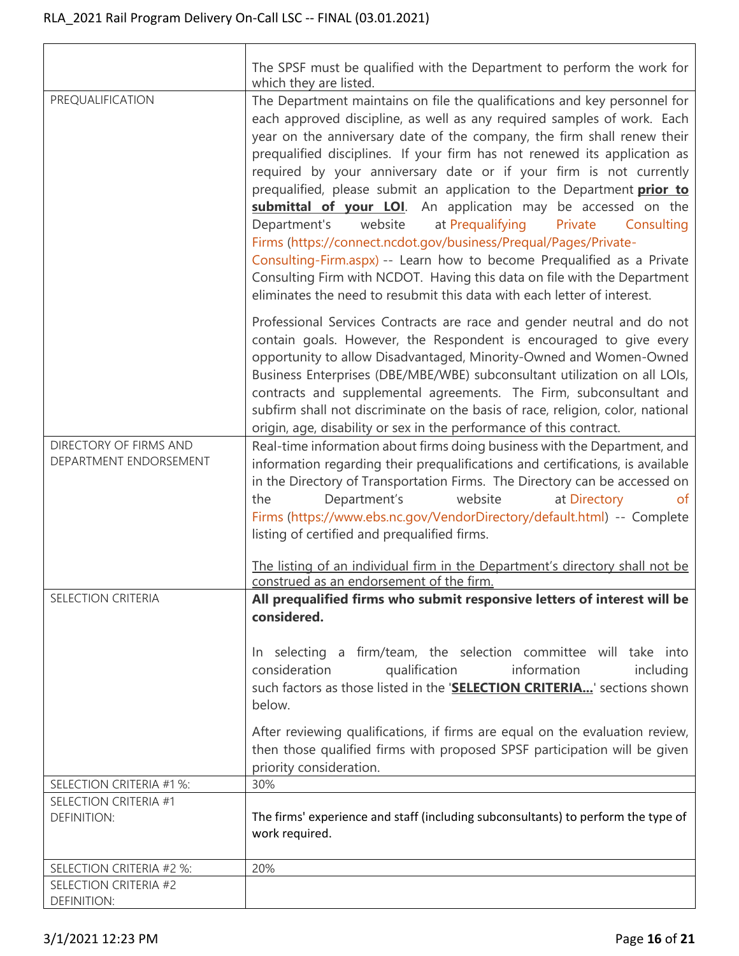$\overline{\Gamma}$ 

|                                                  | The SPSF must be qualified with the Department to perform the work for<br>which they are listed.                                                                                                                                                                                                                                                                                                                                                                                                                                                                                                                                                                                                                                                                                                                                                                                                                |
|--------------------------------------------------|-----------------------------------------------------------------------------------------------------------------------------------------------------------------------------------------------------------------------------------------------------------------------------------------------------------------------------------------------------------------------------------------------------------------------------------------------------------------------------------------------------------------------------------------------------------------------------------------------------------------------------------------------------------------------------------------------------------------------------------------------------------------------------------------------------------------------------------------------------------------------------------------------------------------|
| PREQUALIFICATION                                 | The Department maintains on file the qualifications and key personnel for<br>each approved discipline, as well as any required samples of work. Each<br>year on the anniversary date of the company, the firm shall renew their<br>prequalified disciplines. If your firm has not renewed its application as<br>required by your anniversary date or if your firm is not currently<br>prequalified, please submit an application to the Department <i>prior to</i><br>submittal of your LOI. An application may be accessed on the<br>website<br>at Prequalifying<br>Department's<br>Private<br>Consulting<br>Firms (https://connect.ncdot.gov/business/Prequal/Pages/Private-<br>Consulting-Firm.aspx) -- Learn how to become Prequalified as a Private<br>Consulting Firm with NCDOT. Having this data on file with the Department<br>eliminates the need to resubmit this data with each letter of interest. |
|                                                  | Professional Services Contracts are race and gender neutral and do not<br>contain goals. However, the Respondent is encouraged to give every<br>opportunity to allow Disadvantaged, Minority-Owned and Women-Owned<br>Business Enterprises (DBE/MBE/WBE) subconsultant utilization on all LOIs,<br>contracts and supplemental agreements. The Firm, subconsultant and<br>subfirm shall not discriminate on the basis of race, religion, color, national<br>origin, age, disability or sex in the performance of this contract.                                                                                                                                                                                                                                                                                                                                                                                  |
| DIRECTORY OF FIRMS AND<br>DEPARTMENT ENDORSEMENT | Real-time information about firms doing business with the Department, and<br>information regarding their prequalifications and certifications, is available<br>in the Directory of Transportation Firms. The Directory can be accessed on<br>Department's<br>website<br>at Directory<br>the<br>ot<br>Firms (https://www.ebs.nc.gov/VendorDirectory/default.html) -- Complete<br>listing of certified and prequalified firms.                                                                                                                                                                                                                                                                                                                                                                                                                                                                                    |
|                                                  | The listing of an individual firm in the Department's directory shall not be<br>construed as an endorsement of the firm.                                                                                                                                                                                                                                                                                                                                                                                                                                                                                                                                                                                                                                                                                                                                                                                        |
| <b>SELECTION CRITERIA</b>                        | All prequalified firms who submit responsive letters of interest will be<br>considered.                                                                                                                                                                                                                                                                                                                                                                                                                                                                                                                                                                                                                                                                                                                                                                                                                         |
|                                                  | In selecting a firm/team, the selection committee will take into<br>information<br>consideration<br>qualification<br>including<br>such factors as those listed in the 'SELECTION CRITERIA' sections shown<br>below.                                                                                                                                                                                                                                                                                                                                                                                                                                                                                                                                                                                                                                                                                             |
|                                                  | After reviewing qualifications, if firms are equal on the evaluation review,<br>then those qualified firms with proposed SPSF participation will be given<br>priority consideration.                                                                                                                                                                                                                                                                                                                                                                                                                                                                                                                                                                                                                                                                                                                            |
| SELECTION CRITERIA #1 %:                         | 30%                                                                                                                                                                                                                                                                                                                                                                                                                                                                                                                                                                                                                                                                                                                                                                                                                                                                                                             |
| SELECTION CRITERIA #1<br><b>DEFINITION:</b>      | The firms' experience and staff (including subconsultants) to perform the type of<br>work required.                                                                                                                                                                                                                                                                                                                                                                                                                                                                                                                                                                                                                                                                                                                                                                                                             |
| SELECTION CRITERIA #2 %:                         | 20%                                                                                                                                                                                                                                                                                                                                                                                                                                                                                                                                                                                                                                                                                                                                                                                                                                                                                                             |
| SELECTION CRITERIA #2                            |                                                                                                                                                                                                                                                                                                                                                                                                                                                                                                                                                                                                                                                                                                                                                                                                                                                                                                                 |
| <b>DEFINITION:</b>                               |                                                                                                                                                                                                                                                                                                                                                                                                                                                                                                                                                                                                                                                                                                                                                                                                                                                                                                                 |

٦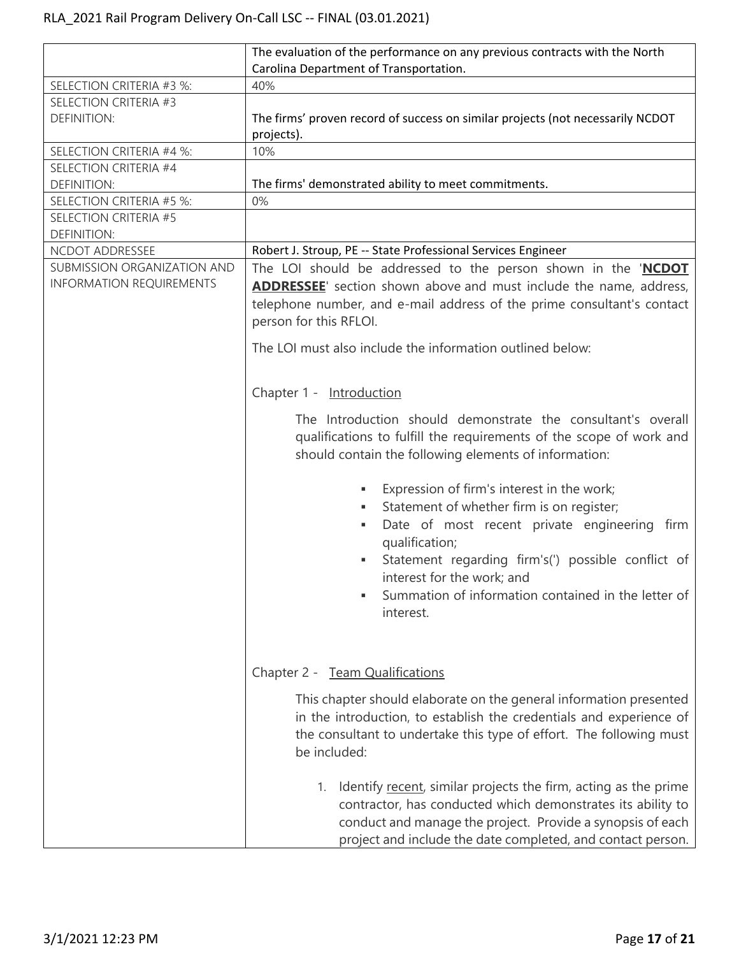|                                                                | The evaluation of the performance on any previous contracts with the North                                                                                                                                                                                                                                                            |
|----------------------------------------------------------------|---------------------------------------------------------------------------------------------------------------------------------------------------------------------------------------------------------------------------------------------------------------------------------------------------------------------------------------|
|                                                                | Carolina Department of Transportation.                                                                                                                                                                                                                                                                                                |
| SELECTION CRITERIA #3 %:                                       | 40%                                                                                                                                                                                                                                                                                                                                   |
| SELECTION CRITERIA #3                                          |                                                                                                                                                                                                                                                                                                                                       |
| <b>DEFINITION:</b>                                             | The firms' proven record of success on similar projects (not necessarily NCDOT                                                                                                                                                                                                                                                        |
|                                                                | projects).                                                                                                                                                                                                                                                                                                                            |
| SELECTION CRITERIA #4 %:                                       | 10%                                                                                                                                                                                                                                                                                                                                   |
| SELECTION CRITERIA #4                                          |                                                                                                                                                                                                                                                                                                                                       |
| <b>DEFINITION:</b>                                             | The firms' demonstrated ability to meet commitments.                                                                                                                                                                                                                                                                                  |
| SELECTION CRITERIA #5 %:                                       | 0%                                                                                                                                                                                                                                                                                                                                    |
| SELECTION CRITERIA #5                                          |                                                                                                                                                                                                                                                                                                                                       |
| <b>DEFINITION:</b>                                             |                                                                                                                                                                                                                                                                                                                                       |
| NCDOT ADDRESSEE                                                | Robert J. Stroup, PE -- State Professional Services Engineer                                                                                                                                                                                                                                                                          |
| SUBMISSION ORGANIZATION AND<br><b>INFORMATION REQUIREMENTS</b> | The LOI should be addressed to the person shown in the 'NCDOT<br><b>ADDRESSEE</b> ' section shown above and must include the name, address,<br>telephone number, and e-mail address of the prime consultant's contact<br>person for this RFLOI.                                                                                       |
|                                                                | The LOI must also include the information outlined below:                                                                                                                                                                                                                                                                             |
|                                                                | Chapter 1 - Introduction                                                                                                                                                                                                                                                                                                              |
|                                                                | The Introduction should demonstrate the consultant's overall<br>qualifications to fulfill the requirements of the scope of work and<br>should contain the following elements of information:                                                                                                                                          |
|                                                                | Expression of firm's interest in the work;<br>٠<br>Statement of whether firm is on register;<br>٠<br>Date of most recent private engineering firm<br>٠<br>qualification;<br>Statement regarding firm's(') possible conflict of<br>٠<br>interest for the work; and<br>Summation of information contained in the letter of<br>interest. |
|                                                                | Chapter 2 - Team Qualifications                                                                                                                                                                                                                                                                                                       |
|                                                                | This chapter should elaborate on the general information presented<br>in the introduction, to establish the credentials and experience of<br>the consultant to undertake this type of effort. The following must<br>be included:                                                                                                      |
|                                                                | Identify recent, similar projects the firm, acting as the prime<br>1.<br>contractor, has conducted which demonstrates its ability to<br>conduct and manage the project. Provide a synopsis of each<br>project and include the date completed, and contact person.                                                                     |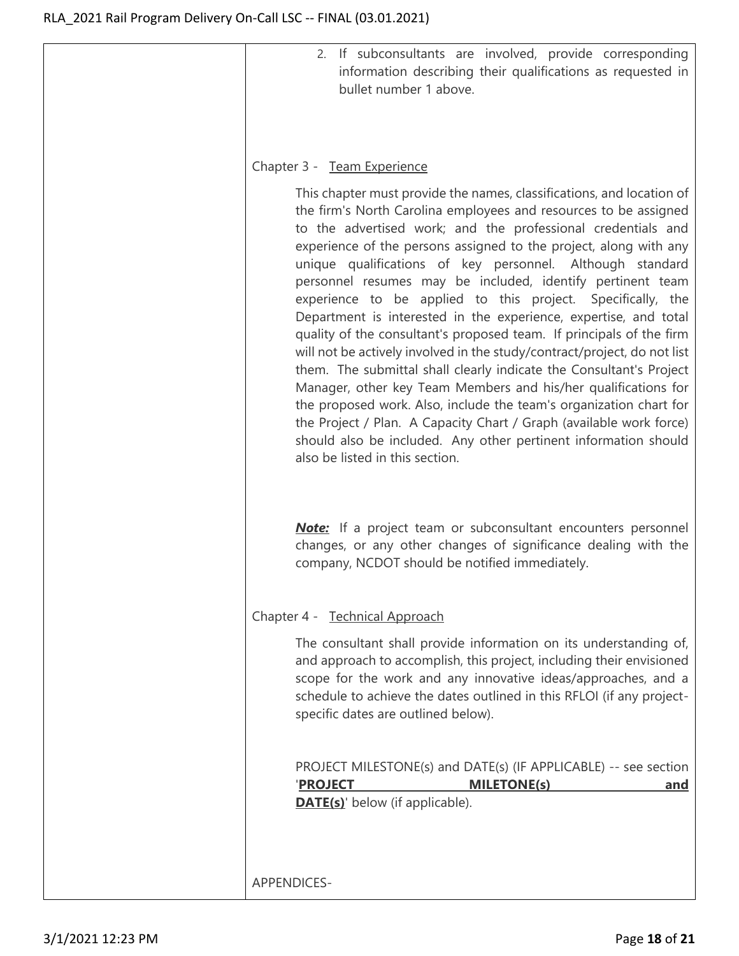| 2. If subconsultants are involved, provide corresponding<br>information describing their qualifications as requested in<br>bullet number 1 above.                                                                                                                                                                                                                                                                                                                                                                                                                                                                                                                                                                                                                                                                                                                                                                                                                                                                                                                                            |
|----------------------------------------------------------------------------------------------------------------------------------------------------------------------------------------------------------------------------------------------------------------------------------------------------------------------------------------------------------------------------------------------------------------------------------------------------------------------------------------------------------------------------------------------------------------------------------------------------------------------------------------------------------------------------------------------------------------------------------------------------------------------------------------------------------------------------------------------------------------------------------------------------------------------------------------------------------------------------------------------------------------------------------------------------------------------------------------------|
| Chapter 3 - Team Experience                                                                                                                                                                                                                                                                                                                                                                                                                                                                                                                                                                                                                                                                                                                                                                                                                                                                                                                                                                                                                                                                  |
| This chapter must provide the names, classifications, and location of<br>the firm's North Carolina employees and resources to be assigned<br>to the advertised work; and the professional credentials and<br>experience of the persons assigned to the project, along with any<br>unique qualifications of key personnel. Although standard<br>personnel resumes may be included, identify pertinent team<br>experience to be applied to this project. Specifically, the<br>Department is interested in the experience, expertise, and total<br>quality of the consultant's proposed team. If principals of the firm<br>will not be actively involved in the study/contract/project, do not list<br>them. The submittal shall clearly indicate the Consultant's Project<br>Manager, other key Team Members and his/her qualifications for<br>the proposed work. Also, include the team's organization chart for<br>the Project / Plan. A Capacity Chart / Graph (available work force)<br>should also be included. Any other pertinent information should<br>also be listed in this section. |
| <b>Note:</b> If a project team or subconsultant encounters personnel<br>changes, or any other changes of significance dealing with the<br>company, NCDOT should be notified immediately.                                                                                                                                                                                                                                                                                                                                                                                                                                                                                                                                                                                                                                                                                                                                                                                                                                                                                                     |
| Chapter 4 - Technical Approach                                                                                                                                                                                                                                                                                                                                                                                                                                                                                                                                                                                                                                                                                                                                                                                                                                                                                                                                                                                                                                                               |
| The consultant shall provide information on its understanding of,<br>and approach to accomplish, this project, including their envisioned<br>scope for the work and any innovative ideas/approaches, and a<br>schedule to achieve the dates outlined in this RFLOI (if any project-<br>specific dates are outlined below).                                                                                                                                                                                                                                                                                                                                                                                                                                                                                                                                                                                                                                                                                                                                                                   |
| PROJECT MILESTONE(s) and DATE(s) (IF APPLICABLE) -- see section<br><b>PROJECT</b><br><b>MILETONE(s)</b><br>and<br><b>DATE(s)'</b> below (if applicable).                                                                                                                                                                                                                                                                                                                                                                                                                                                                                                                                                                                                                                                                                                                                                                                                                                                                                                                                     |
| <b>APPENDICES-</b>                                                                                                                                                                                                                                                                                                                                                                                                                                                                                                                                                                                                                                                                                                                                                                                                                                                                                                                                                                                                                                                                           |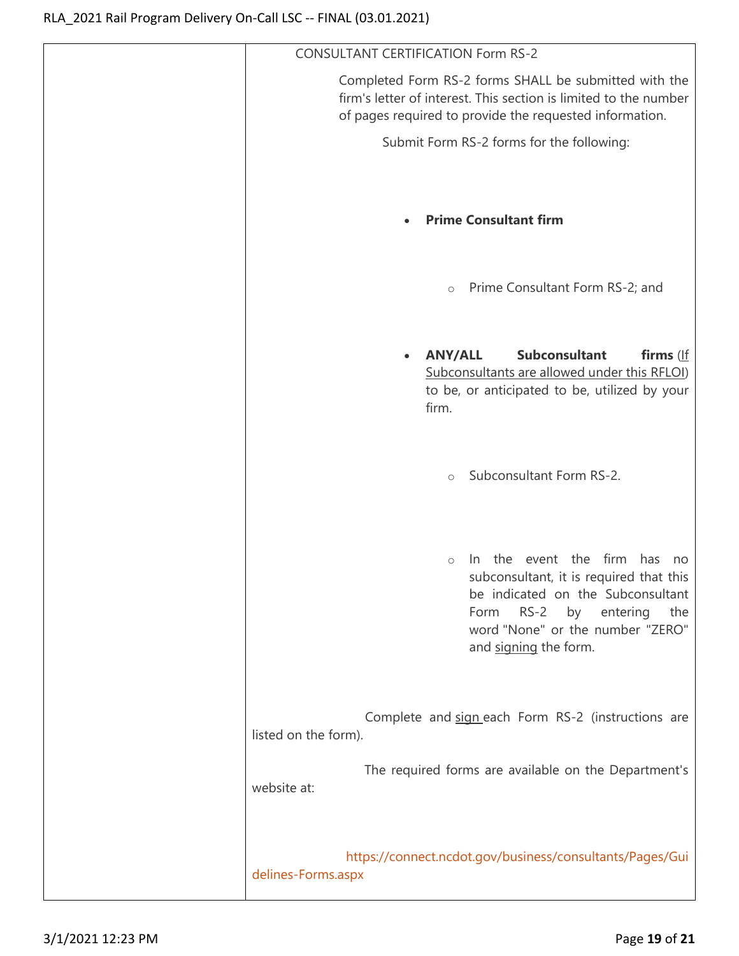| <b>CONSULTANT CERTIFICATION Form RS-2</b>                                                                                                                                                                                                 |
|-------------------------------------------------------------------------------------------------------------------------------------------------------------------------------------------------------------------------------------------|
| Completed Form RS-2 forms SHALL be submitted with the<br>firm's letter of interest. This section is limited to the number<br>of pages required to provide the requested information.                                                      |
| Submit Form RS-2 forms for the following:                                                                                                                                                                                                 |
| <b>Prime Consultant firm</b><br>$\bullet$                                                                                                                                                                                                 |
| Prime Consultant Form RS-2; and<br>$\circlearrowright$                                                                                                                                                                                    |
| Subconsultant<br><b>ANY/ALL</b><br>firms (If<br>$\bullet$<br>Subconsultants are allowed under this RFLOI)<br>to be, or anticipated to be, utilized by your<br>firm.                                                                       |
| Subconsultant Form RS-2.<br>$\circ$                                                                                                                                                                                                       |
| the event the firm<br>has<br>In.<br>no<br>$\circ$<br>subconsultant, it is required that this<br>be indicated on the Subconsultant<br>$RS-2$<br>entering<br>by<br>the<br>Form<br>word "None" or the number "ZERO"<br>and signing the form. |
| Complete and sign each Form RS-2 (instructions are<br>listed on the form).                                                                                                                                                                |
| The required forms are available on the Department's<br>website at:                                                                                                                                                                       |
| https://connect.ncdot.gov/business/consultants/Pages/Gui<br>delines-Forms.aspx                                                                                                                                                            |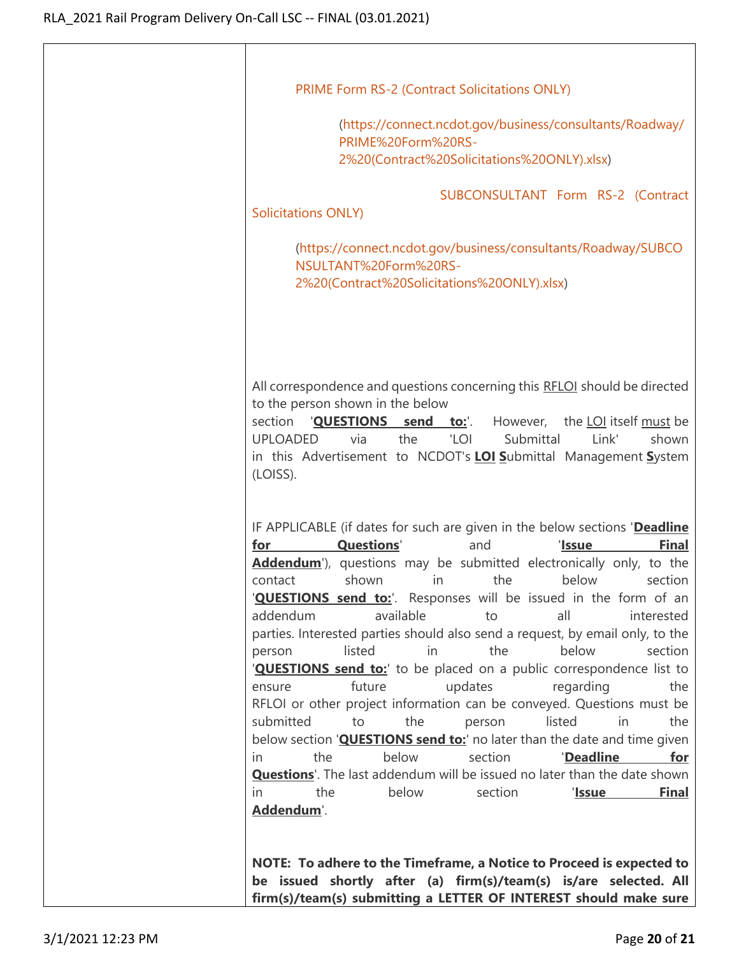| PRIME Form RS-2 (Contract Solicitations ONLY)                                                                                                                                                                                                                                                                                                                                                                                                                                                                                                                                                                                                                                                                                                                                                                                                                                                                                                                                                                                                                                                                                                |
|----------------------------------------------------------------------------------------------------------------------------------------------------------------------------------------------------------------------------------------------------------------------------------------------------------------------------------------------------------------------------------------------------------------------------------------------------------------------------------------------------------------------------------------------------------------------------------------------------------------------------------------------------------------------------------------------------------------------------------------------------------------------------------------------------------------------------------------------------------------------------------------------------------------------------------------------------------------------------------------------------------------------------------------------------------------------------------------------------------------------------------------------|
| (https://connect.ncdot.gov/business/consultants/Roadway/<br>PRIME%20Form%20RS-<br>2%20(Contract%20Solicitations%20ONLY).xlsx)                                                                                                                                                                                                                                                                                                                                                                                                                                                                                                                                                                                                                                                                                                                                                                                                                                                                                                                                                                                                                |
| SUBCONSULTANT Form RS-2 (Contract<br><b>Solicitations ONLY)</b>                                                                                                                                                                                                                                                                                                                                                                                                                                                                                                                                                                                                                                                                                                                                                                                                                                                                                                                                                                                                                                                                              |
| (https://connect.ncdot.gov/business/consultants/Roadway/SUBCO<br>NSULTANT%20Form%20RS-<br>2%20(Contract%20Solicitations%20ONLY).xlsx)                                                                                                                                                                                                                                                                                                                                                                                                                                                                                                                                                                                                                                                                                                                                                                                                                                                                                                                                                                                                        |
| All correspondence and questions concerning this RFLOI should be directed<br>to the person shown in the below<br>section<br>'QUESTIONS send to:'.<br>However,<br>the LOI itself must be<br><b>UPLOADED</b><br>via<br>the<br>'LOI<br>Link'<br>Submittal<br>shown<br>in this Advertisement to NCDOT's <b>LOI Submittal Management System</b><br>(LOISS).                                                                                                                                                                                                                                                                                                                                                                                                                                                                                                                                                                                                                                                                                                                                                                                       |
| IF APPLICABLE (if dates for such are given in the below sections 'Deadline<br><b>Questions'</b><br>'Issue<br><b>Final</b><br>and<br>for<br><b>Addendum</b> '), questions may be submitted electronically only, to the<br>shown<br>the<br>below<br>section<br>contact<br>$\mathsf{in}$<br>" <b>QUESTIONS send to:</b> ". Responses will be issued in the form of an<br>addendum<br>available<br>all<br>interested<br>to<br>parties. Interested parties should also send a request, by email only, to the<br>listed<br>the<br>below<br>in<br>section<br>person<br>" <b>QUESTIONS send to:</b> to be placed on a public correspondence list to<br>future<br>updates<br>regarding<br>the<br>ensure<br>RFLOI or other project information can be conveyed. Questions must be<br>submitted<br>the<br>listed<br>in<br>to<br>the<br>person<br>below section ' <b>QUESTIONS send to:</b> ' no later than the date and time given<br>below<br>the<br>section<br>'Deadline<br>for<br>in.<br><b>Questions</b> '. The last addendum will be issued no later than the date shown<br>below<br>section<br>the<br><b>Final</b><br>'Issue<br>in.<br>Addendum'. |
| NOTE: To adhere to the Timeframe, a Notice to Proceed is expected to<br>be issued shortly after (a) firm(s)/team(s) is/are selected. All<br>firm(s)/team(s) submitting a LETTER OF INTEREST should make sure                                                                                                                                                                                                                                                                                                                                                                                                                                                                                                                                                                                                                                                                                                                                                                                                                                                                                                                                 |